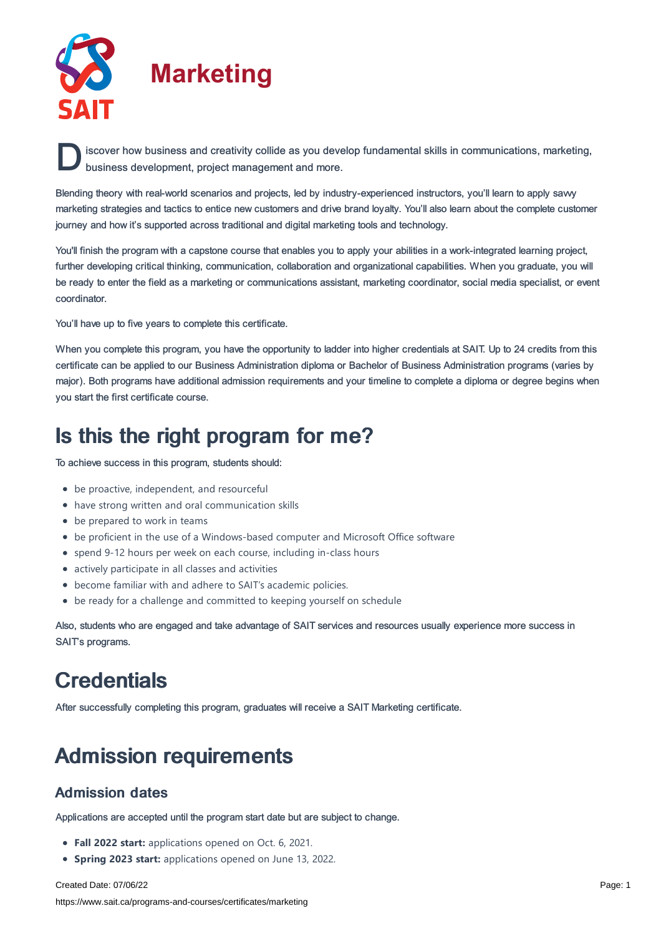

**D** iscover how business and creativity collide as you develop fundamental skills in communications, marketing, business development, project management and more. business development, project management and more.

Blending theory with real-world scenarios and projects, led by industry-experienced instructors, you'll learn to apply savvy marketing strategies and tactics to entice new customers and drive brand loyalty. You'll also learn about the complete customer journey and how it's supported across traditional and digital marketing tools and technology.

You'll finish the program with a capstone course that enables you to apply your abilities in a work-integrated learning project, further developing critical thinking, communication, collaboration and organizational capabilities. When you graduate, you will be ready to enter the field as a marketing or communications assistant, marketing coordinator, social media specialist, or event coordinator.

You'll have up to five years to complete this certificate.

When you complete this program, you have the opportunity to ladder into higher credentials at SAIT. Up to 24 credits from this certificate can be applied to our Business Administration diploma or Bachelor of Business Administration programs (varies by major). Both programs have additional admission requirements and your timeline to complete a diploma or degree begins when you start the first certificate course.

# Is this the right program for me?

To achieve success in this program, students should:

- be proactive, independent, and resourceful
- have strong written and oral communication skills
- be prepared to work in teams
- be proficient in the use of a Windows-based computer and Microsoft Office software
- spend 9-12 hours per week on each course, including in-class hours
- actively participate in all classes and activities
- become familiar with and adhere to SAIT's academic policies.
- be ready for a challenge and committed to keeping yourself on schedule

Also, students who are engaged and take advantage of SAIT services and resources usually experience more success in SAIT's programs.

# **Credentials**

After successfully completing this program, graduates will receive a SAIT Marketing certificate.

# Admission requirements

#### Admission dates

Applications are accepted until the program start date but are subject to change.

- **Fall 2022 start:** applications opened on Oct. 6, 2021.
- **Spring 2023 start:** applications opened on June 13, 2022.

Created Date: 07/06/22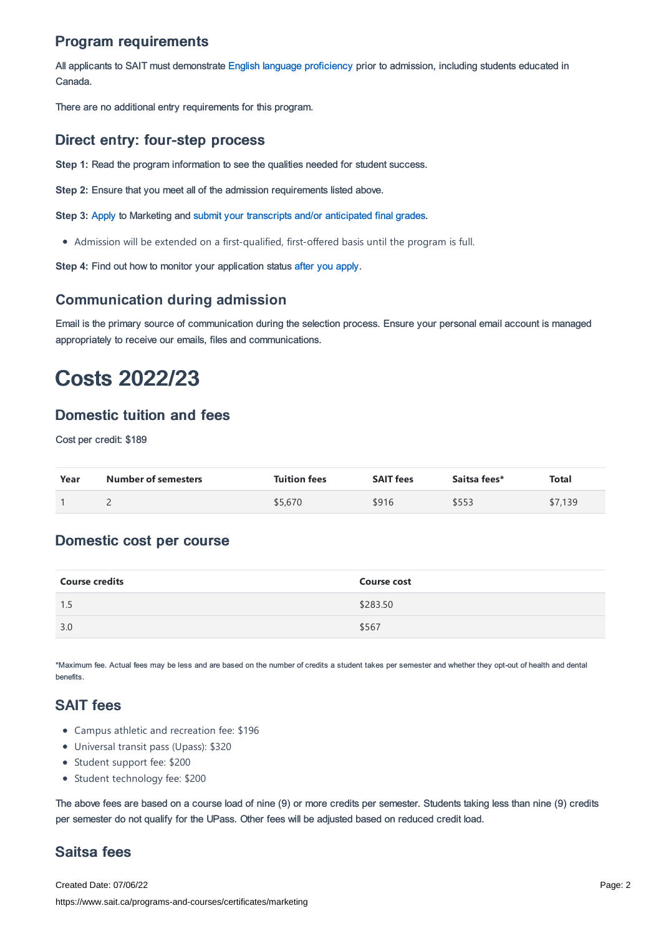## Program requirements

All applicants to SAIT must demonstrate English language [proficiency](https://www.sait.ca/admissions/before-you-apply/english-proficiency) prior to admission, including students educated in Canada.

There are no additional entry requirements for this program.

#### Direct entry: four-step process

**Step 1:** Read the program information to see the qualities needed for student success.

**Step 2:** Ensure that you meet all of the admission requirements listed above.

**Step 3:** [Apply](https://www.sait.ca/admissions/apply) to Marketing and submit your transcripts and/or [anticipated](https://www.sait.ca/admissions/after-you-apply/transcripts-and-supporting-documents) final grades.

Admission will be extended on a first-qualified, first-offered basis until the program is full.

**Step 4:** Find out how to monitor your application status after you [apply](https://www.sait.ca/admissions/after-you-apply/tracking-your-application).

#### **Communication during admission**

Email is the primary source of communication during the selection process. Ensure your personal email account is managed appropriately to receive our emails, files and communications.

# Costs 2022/23

#### Domestic tuition and fees

Cost per credit: \$189

| Year | <b>Number of semesters</b> | <b>Tuition fees</b> | <b>SAIT fees</b> | Saitsa fees* | <b>Total</b> |
|------|----------------------------|---------------------|------------------|--------------|--------------|
|      |                            | \$5,670             | \$916            | \$553        | \$7,139      |

#### Domestic cost per course

| <b>Course credits</b> | <b>Course cost</b> |
|-----------------------|--------------------|
| 1.5                   | \$283.50           |
| 3.0                   | \$567              |

\*Maximum fee. Actual fees may be less and are based on the number of credits a student takes per semester and whether they opt-out of health and dental benefits.

## SAIT fees

- Campus athletic and recreation fee: \$196
- Universal transit pass (Upass): \$320
- Student support fee: \$200
- Student technology fee: \$200

The above fees are based on a course load of nine (9) or more credits per semester. Students taking less than nine (9) credits per semester do not qualify for the UPass. Other fees will be adjusted based on reduced credit load.

## Saitsa fees